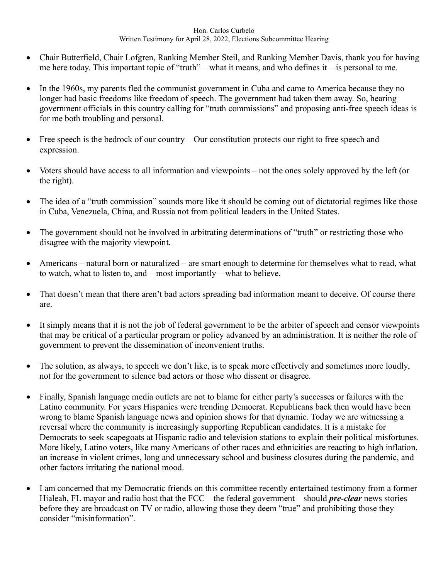## Hon. Carlos Curbelo Written Testimony for April 28, 2022, Elections Subcommittee Hearing

- Chair Butterfield, Chair Lofgren, Ranking Member Steil, and Ranking Member Davis, thank you for having me here today. This important topic of "truth"—what it means, and who defines it—is personal to me.
- In the 1960s, my parents fled the communist government in Cuba and came to America because they no longer had basic freedoms like freedom of speech. The government had taken them away. So, hearing government officials in this country calling for "truth commissions" and proposing anti-free speech ideas is for me both troubling and personal.
- Free speech is the bedrock of our country Our constitution protects our right to free speech and expression.
- Voters should have access to all information and viewpoints not the ones solely approved by the left (or the right).
- The idea of a "truth commission" sounds more like it should be coming out of dictatorial regimes like those in Cuba, Venezuela, China, and Russia not from political leaders in the United States.
- The government should not be involved in arbitrating determinations of "truth" or restricting those who disagree with the majority viewpoint.
- Americans natural born or naturalized are smart enough to determine for themselves what to read, what to watch, what to listen to, and—most importantly—what to believe.
- That doesn't mean that there aren't bad actors spreading bad information meant to deceive. Of course there are.
- It simply means that it is not the job of federal government to be the arbiter of speech and censor viewpoints that may be critical of a particular program or policy advanced by an administration. It is neither the role of government to prevent the dissemination of inconvenient truths.
- The solution, as always, to speech we don't like, is to speak more effectively and sometimes more loudly, not for the government to silence bad actors or those who dissent or disagree.
- Finally, Spanish language media outlets are not to blame for either party's successes or failures with the Latino community. For years Hispanics were trending Democrat. Republicans back then would have been wrong to blame Spanish language news and opinion shows for that dynamic. Today we are witnessing a reversal where the community is increasingly supporting Republican candidates. It is a mistake for Democrats to seek scapegoats at Hispanic radio and television stations to explain their political misfortunes. More likely, Latino voters, like many Americans of other races and ethnicities are reacting to high inflation, an increase in violent crimes, long and unnecessary school and business closures during the pandemic, and other factors irritating the national mood.
- I am concerned that my Democratic friends on this committee recently entertained testimony from a former Hialeah, FL mayor and radio host that the FCC—the federal government—should *pre-clear* news stories before they are broadcast on TV or radio, allowing those they deem "true" and prohibiting those they consider "misinformation".